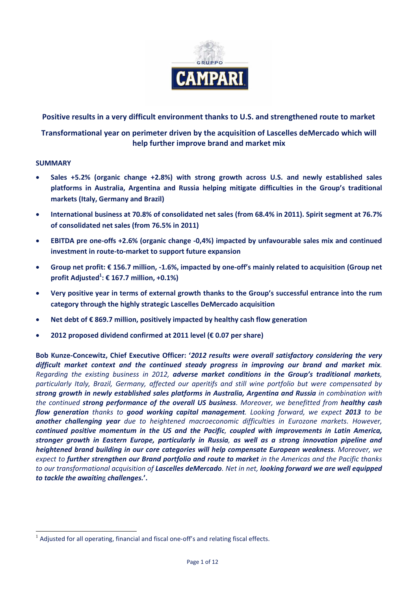

**Positive results in a very difficult environment thanks to U.S. and strengthened route to market** 

**Transformational year on perimeter driven by the acquisition of Lascelles deMercado which will help further improve brand and market mix**

## **SUMMARY**

-

- **Sales +5.2% (organic change +2.8%) with strong growth across U.S. and newly established sales platforms in Australia, Argentina and Russia helping mitigate difficulties in the Group's traditional markets (Italy, Germany and Brazil)**
- **International business at 70.8% of consolidated net sales (from 68.4% in 2011). Spirit segment at 76.7% of consolidated net sales (from 76.5% in 2011)**
- **EBITDA pre one-offs +2.6% (organic change -0,4%) impacted by unfavourable sales mix and continued investment in route-to-market to support future expansion**
- **Group net profit: € 156.7 million, -1.6%, impacted by one-off's mainly related to acquisition (Group net profit Adjusted<sup>1</sup> : € 167.7 million, +0.1%)**
- **Very positive year in terms of external growth thanks to the Group's successful entrance into the rum category through the highly strategic Lascelles DeMercado acquisition**
- **Net debt of € 869.7 million, positively impacted by healthy cash flow generation**
- **2012 proposed dividend confirmed at 2011 level (€ 0.07 per share)**

**Bob Kunze-Concewitz, Chief Executive Officer: '***2012 results were overall satisfactory considering the very difficult market context and the continued steady progress in improving our brand and market mix. Regarding the existing business in 2012, adverse market conditions in the Group's traditional markets, particularly Italy, Brazil, Germany, affected our aperitifs and still wine portfolio but were compensated by strong growth in newly established sales platforms in Australia, Argentina and Russia in combination with the continued strong performance of the overall US business. Moreover, we benefitted from healthy cash flow generation thanks to good working capital management. Looking forward, we expect 2013 to be another challenging year due to heightened macroeconomic difficulties in Eurozone markets. However, continued positive momentum in the US and the Pacific, coupled with improvements in Latin America, stronger growth in Eastern Europe, particularly in Russia, as well as a strong innovation pipeline and heightened brand building in our core categories will help compensate European weakness. Moreover, we expect to further strengthen our Brand portfolio and route to market in the Americas and the Pacific thanks to our transformational acquisition of Lascelles deMercado. Net in net, looking forward we are well equipped to tackle the awaitin*g *challenges.***'.**

 $<sup>1</sup>$  Adjusted for all operating, financial and fiscal one-off's and relating fiscal effects.</sup>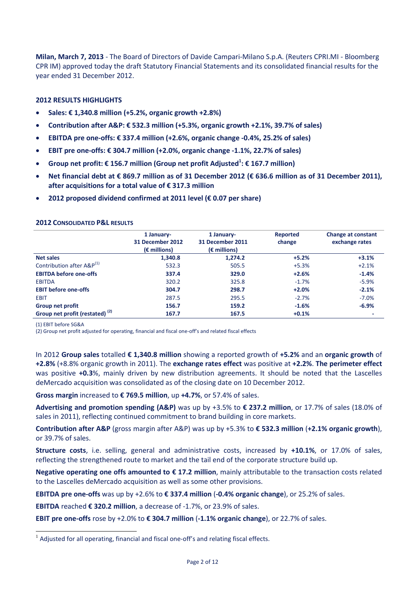**Milan, March 7, 2013** - The Board of Directors of Davide Campari-Milano S.p.A. (Reuters CPRI.MI - Bloomberg CPR IM) approved today the draft Statutory Financial Statements and its consolidated financial results for the year ended 31 December 2012.

# **2012 RESULTS HIGHLIGHTS**

- **Sales: € 1,340.8 million (+5.2%, organic growth +2.8%)**
- **Contribution after A&P: € 532.3 million (+5.3%, organic growth +2.1%, 39.7% of sales)**
- **EBITDA pre one-offs: € 337.4 million (+2.6%, organic change -0.4%, 25.2% of sales)**
- **EBIT pre one-offs: € 304.7 million (+2.0%, organic change -1.1%, 22.7% of sales)**
- **Group net profit: € 156.7 million (Group net profit Adjusted<sup>1</sup> : € 167.7 million)**
- **Net financial debt at € 869.7 million as of 31 December 2012 (€ 636.6 million as of 31 December 2011), after acquisitions for a total value of € 317.3 million**
- **2012 proposed dividend confirmed at 2011 level (€ 0.07 per share)**

|                                            | 1 January-<br>31 December 2012<br>$(\epsilon$ millions) | 1 January-<br>31 December 2011<br>$(\epsilon$ millions) | <b>Reported</b><br>change | <b>Change at constant</b><br>exchange rates |
|--------------------------------------------|---------------------------------------------------------|---------------------------------------------------------|---------------------------|---------------------------------------------|
| <b>Net sales</b>                           | 1,340.8                                                 | 1.274.2                                                 | $+5.2%$                   | $+3.1%$                                     |
| Contribution after A&P(1)                  | 532.3                                                   | 505.5                                                   | $+5.3%$                   | $+2.1%$                                     |
| <b>EBITDA before one-offs</b>              | 337.4                                                   | 329.0                                                   | $+2.6%$                   | $-1.4%$                                     |
| <b>EBITDA</b>                              | 320.2                                                   | 325.8                                                   | $-1.7%$                   | $-5.9%$                                     |
| <b>EBIT before one-offs</b>                | 304.7                                                   | 298.7                                                   | $+2.0%$                   | $-2.1%$                                     |
| <b>EBIT</b>                                | 287.5                                                   | 295.5                                                   | $-2.7%$                   | $-7.0%$                                     |
| <b>Group net profit</b>                    | 156.7                                                   | 159.2                                                   | $-1.6%$                   | $-6.9%$                                     |
| Group net profit (restated) <sup>(2)</sup> | 167.7                                                   | 167.5                                                   | $+0.1%$                   |                                             |

(1) EBIT before SG&A

-

(2) Group net profit adjusted for operating, financial and fiscal one-off's and related fiscal effects

In 2012 **Group sales** totalled **€ 1,340.8 million** showing a reported growth of **+5.2%** and an **organic growth** of **+2.8%** (+8.8% organic growth in 2011). The **exchange rates effect** was positive at **+2.2%**. **The perimeter effect** was positive **+0.3**%, mainly driven by new distribution agreements. It should be noted that the Lascelles deMercado acquisition was consolidated as of the closing date on 10 December 2012.

**Gross margin** increased to **€ 769.5 million**, up **+4.7%**, or 57.4% of sales.

**Advertising and promotion spending (A&P)** was up by +3.5% to **€ 237.2 million**, or 17.7% of sales (18.0% of sales in 2011), reflecting continued commitment to brand building in core markets.

**Contribution after A&P** (gross margin after A&P) was up by +5.3% to **€ 532.3 million** (**+2.1% organic growth**), or 39.7% of sales.

**Structure costs**, i.e. selling, general and administrative costs, increased by **+10.1%**, or 17.0% of sales, reflecting the strengthened route to market and the tail end of the corporate structure build up.

**Negative operating one offs amounted to € 17.2 million**, mainly attributable to the transaction costs related to the Lascelles deMercado acquisition as well as some other provisions.

**EBITDA pre one-offs** was up by +2.6% to **€ 337.4 million** (**-0.4% organic change**), or 25.2% of sales.

**EBITDA** reached **€ 320.2 million**, a decrease of -1.7%, or 23.9% of sales.

**EBIT pre one-offs** rose by +2.0% to **€ 304.7 million** (**-1.1% organic change**), or 22.7% of sales.

 $<sup>1</sup>$  Adjusted for all operating, financial and fiscal one-off's and relating fiscal effects.</sup>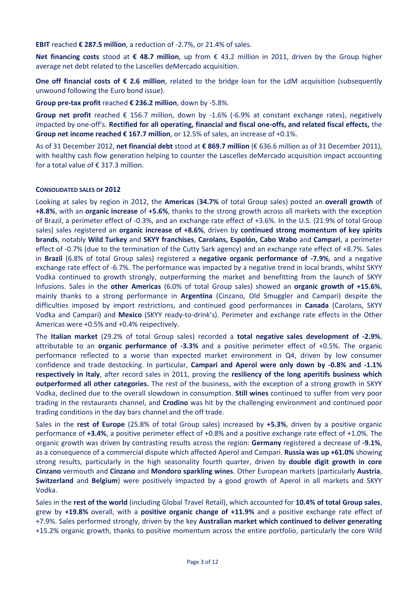**EBIT** reached **€ 287.5 million**, a reduction of -2.7%, or 21.4% of sales.

**Net financing costs** stood at **€ 48.7 million**, up from € 43.2 million in 2011, driven by the Group higher average net debt related to the Lascelles deMercado acquisition.

**One off financial costs of € 2.6 million**, related to the bridge loan for the LdM acquisition (subsequently unwound following the Euro bond issue).

**Group pre-tax profit** reached **€ 236.2 million**, down by -5.8%.

**Group net profit** reached € 156.7 million, down by -1.6% (-6.9% at constant exchange rates), negatively impacted by one-off's. **Rectified for all operating, financial and fiscal one-offs, and related fiscal effects,** the **Group net income reached € 167.7 million**, or 12.5% of sales, an increase of +0.1%.

As of 31 December 2012, **net financial debt** stood at **€ 869.7 million** (€ 636.6 million as of 31 December 2011), with healthy cash flow generation helping to counter the Lascelles deMercado acquisition impact accounting for a total value of  $\epsilon$  317.3 million.

#### **CONSOLIDATED SALES OF 2012**

Looking at sales by region in 2012, the **Americas** (**34.7%** of total Group sales) posted an **overall growth** of **+8.8%**, with an **organic increase** of **+5.6%**, thanks to the strong growth across all markets with the exception of Brazil, a perimeter effect of -0.3%, and an exchange rate effect of +3.6%. In the U.S. (21.9% of total Group sales) sales registered an **organic increase of +8.6%**, driven by **continued strong momentum of key spirits brands**, notably **Wild Turkey** and **SKYY franchises**, **Carolans, Espolón, Cabo Wabo** and **Campari**, a perimeter effect of -0.7% (due to the termination of the Cutty Sark agency) and an exchange rate effect of +8.7%. Sales in **Brazil** (6.8% of total Group sales) registered a **negative organic performance of -7.9%**, and a negative exchange rate effect of -6.7%. The performance was impacted by a negative trend in local brands, whilst SKYY Vodka continued to growth strongly, outperforming the market and benefitting from the launch of SKYY Infusions. Sales in the **other Americas** (6.0% of total Group sales) showed an **organic growth of +15.6%**, mainly thanks to a strong performance in **Argentina** (Cinzano, Old Smuggler and Campari) despite the difficulties imposed by import restrictions, and continued good performances in **Canada** (Carolans, SKYY Vodka and Campari) and **Mexico** (SKYY ready-to-drink's). Perimeter and exchange rate effects in the Other Americas were +0.5% and +0.4% respectively.

The **Italian market** (29.2% of total Group sales) recorded a **total negative sales development of -2.9%**, attributable to an **organic performance of -3.3%** and a positive perimeter effect of +0.5%. The organic performance reflected to a worse than expected market environment in Q4, driven by low consumer confidence and trade destocking. In particular, **Campari and Aperol were only down by -0.8% and -1.1% respectively in Italy**, after record sales in 2011, proving the **resiliency of the long aperitifs business which outperformed all other categories.** The rest of the business, with the exception of a strong growth in SKYY Vodka, declined due to the overall slowdown in consumption. **Still wines** continued to suffer from very poor trading in the restaurants channel, and **Crodino** was hit by the challenging environment and continued poor trading conditions in the day bars channel and the off trade.

Sales in the **rest of Europe** (25.8% of total Group sales) increased by **+5.3%**, driven by a positive organic performance of **+3.4%**, a positive perimeter effect of +0.8% and a positive exchange rate effect of +1.0%. The organic growth was driven by contrasting results across the region: **Germany** registered a decrease of **-9.1%**, as a consequence of a commercial dispute which affected Aperol and Campari. **Russia was up +61.0%** showing strong results, particularly in the high seasonality fourth quarter, driven by **double digit growth in core Cinzano** vermouth and **Cinzano** and **Mondoro sparkling wines**. Other European markets (particularly **Austria**, **Switzerland** and **Belgium**) were positively impacted by a good growth of Aperol in all markets and SKYY Vodka.

Sales in the **rest of the world** (including Global Travel Retail), which accounted for **10.4% of total Group sales**, grew by **+19.8%** overall, with a **positive organic change of +11.9%** and a positive exchange rate effect of +7.9%. Sales performed strongly, driven by the key **Australian market which continued to deliver generating** +15.2% organic growth, thanks to positive momentum across the entire portfolio, particularly the core Wild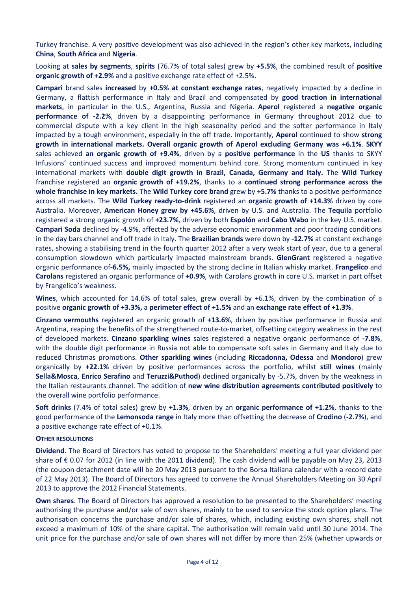Turkey franchise. A very positive development was also achieved in the region's other key markets, including **China**, **South Africa** and **Nigeria**.

Looking at **sales by segments**, **spirits** (76.7% of total sales) grew by **+5.5%**, the combined result of **positive organic growth of +2.9%** and a positive exchange rate effect of +2.5%.

**Campari** brand sales **increased** by **+0.5% at constant exchange rates**, negatively impacted by a decline in Germany, a flattish performance in Italy and Brazil and compensated by **good traction in international markets**, in particular in the U.S., Argentina, Russia and Nigeria. **Aperol** registered a **negative organic performance of -2.2%**, driven by a disappointing performance in Germany throughout 2012 due to commercial dispute with a key client in the high seasonality period and the softer performance in Italy impacted by a tough environment, especially in the off trade. Importantly, **Aperol** continued to show **strong growth in international markets. Overall organic growth of Aperol excluding Germany was +6.1%**. **SKYY**  sales achieved **an organic growth of +9.4%**, driven by a **positive performance** in the **US** thanks to SKYY Infusions' continued success and improved momentum behind core. Strong momentum continued in key international markets with **double digit growth in Brazil, Canada, Germany and Italy.** The **Wild Turkey** franchise registered an **organic growth of +19.2%**, thanks to a **continued strong performance across the whole franchise in key markets.** The **Wild Turkey core brand** grew by **+5.7%** thanks to a positive performance across all markets. The **Wild Turkey ready-to-drink** registered an **organic growth of +14.3%** driven by core Australia. Moreover, **American Honey grew by +45.6%**, driven by U.S. and Australia. The **Tequila** portfolio registered a strong organic growth of **+23.7%**, driven by both **Espolón** and **Cabo Wabo** in the key U.S. market. **Campari Soda** declined by -4.9%, affected by the adverse economic environment and poor trading conditions in the day bars channel and off trade in Italy. The **Brazilian brands** were down by **-12.7%** at constant exchange rates, showing a stabilising trend in the fourth quarter 2012 after a very weak start of year, due to a general consumption slowdown which particularly impacted mainstream brands. **GlenGrant** registered a negative organic performance of**-6.5%,** mainly impacted by the strong decline in Italian whisky market. **Frangelico** and **Carolans** registered an organic performance of **+0.9%**, with Carolans growth in core U.S. market in part offset by Frangelico's weakness.

**Wines**, which accounted for 14.6% of total sales, grew overall by +6.1%, driven by the combination of a positive **organic growth of +3.3%,** a **perimeter effect of +1.5%** and an **exchange rate effect of +1.3%**.

**Cinzano vermouths** registered an organic growth of **+13.6%**, driven by positive performance in Russia and Argentina, reaping the benefits of the strengthened route-to-market, offsetting category weakness in the rest of developed markets. **Cinzano sparkling wines** sales registered a negative organic performance of **-7.8%**, with the double digit performance in Russia not able to compensate soft sales in Germany and Italy due to reduced Christmas promotions. **Other sparkling wines** (including **Riccadonna, Odessa** and **Mondoro**) grew organically by **+22.1%** driven by positive performances across the portfolio, whilst **still wines** (mainly **Sella&Mosca**, **Enrico Serafino** and **Teruzzi&Puthod**) declined organically by -5.7%, driven by the weakness in the Italian restaurants channel. The addition of **new wine distribution agreements contributed positively** to the overall wine portfolio performance.

**Soft drinks** (7.4% of total sales) grew by **+1.3%**, driven by an **organic performance of +1.2%**, thanks to the good performance of the **Lemonsoda range** in Italy more than offsetting the decrease of **Crodino** (**-2.7%**), and a positive exchange rate effect of +0.1%.

#### **OTHER RESOLUTIONS**

**Dividend**. The Board of Directors has voted to propose to the Shareholders' meeting a full year dividend per share of € 0.07 for 2012 (in line with the 2011 dividend). The cash dividend will be payable on May 23, 2013 (the coupon detachment date will be 20 May 2013 pursuant to the Borsa Italiana calendar with a record date of 22 May 2013). The Board of Directors has agreed to convene the Annual Shareholders Meeting on 30 April 2013 to approve the 2012 Financial Statements.

**Own shares**. The Board of Directors has approved a resolution to be presented to the Shareholders' meeting authorising the purchase and/or sale of own shares, mainly to be used to service the stock option plans. The authorisation concerns the purchase and/or sale of shares, which, including existing own shares, shall not exceed a maximum of 10% of the share capital. The authorisation will remain valid until 30 June 2014. The unit price for the purchase and/or sale of own shares will not differ by more than 25% (whether upwards or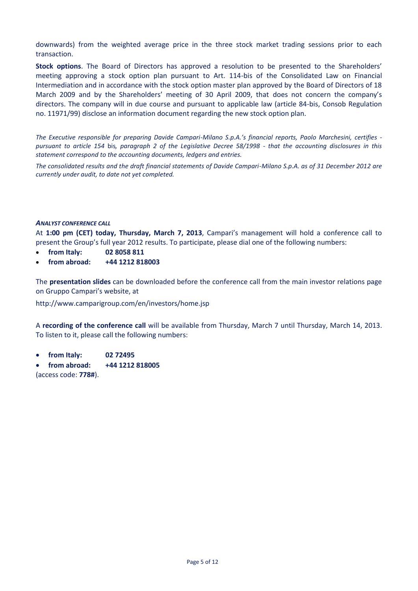downwards) from the weighted average price in the three stock market trading sessions prior to each transaction.

**Stock options**. The Board of Directors has approved a resolution to be presented to the Shareholders' meeting approving a stock option plan pursuant to Art. 114-bis of the Consolidated Law on Financial Intermediation and in accordance with the stock option master plan approved by the Board of Directors of 18 March 2009 and by the Shareholders' meeting of 30 April 2009, that does not concern the company's directors. The company will in due course and pursuant to applicable law (article 84-bis, Consob Regulation no. 11971/99) disclose an information document regarding the new stock option plan.

*The Executive responsible for preparing Davide Campari-Milano S.p.A.'s financial reports, Paolo Marchesini, certifies pursuant to article 154* bis*, paragraph 2 of the Legislative Decree 58/1998 - that the accounting disclosures in this statement correspond to the accounting documents, ledgers and entries.* 

*The consolidated results and the draft financial statements of Davide Campari-Milano S.p.A. as of 31 December 2012 are currently under audit, to date not yet completed.* 

#### *ANALYST CONFERENCE CALL*

At **1:00 pm (CET) today, Thursday, March 7, 2013**, Campari's management will hold a conference call to present the Group's full year 2012 results. To participate, please dial one of the following numbers:

- **from Italy: 02 8058 811**
- **from abroad: +44 1212 818003**

The **presentation slides** can be downloaded before the conference call from the main investor relations page on Gruppo Campari's website, at

http://www.camparigroup.com/en/investors/home.jsp

A **recording of the conference call** will be available from Thursday, March 7 until Thursday, March 14, 2013. To listen to it, please call the following numbers:

- **from Italy: 02 72495**
- **from abroad: +44 1212 818005**

(access code: **778#**).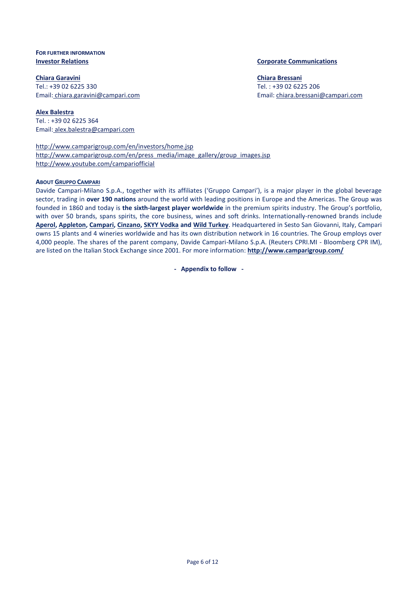# **FOR FURTHER INFORMATION**

**Chiara Garavini** Tel.: +39 02 6225 330 Email: [chiara.garavini@campari.com](mailto:chiara.garavini@campari.com)

**Alex Balestra** Tel. : +39 02 6225 364 Email: alex.balestra@campari.com

<http://www.camparigroup.com/en/investors/home.jsp> [http://www.camparigroup.com/en/press\\_media/image\\_gallery/group\\_images.jsp](http://www.camparigroup.com/en/press_media/image_gallery/group_images.jsp) http://www.youtube.com/campariofficial

## **ABOUT GRUPPO C[AMPARI](http://www.camparigroup.com/en/index.shtml)**

Davide Campari-Milano S.p.A., together with its affiliates ('Gruppo Campari'), is a major player in the global beverage sector, trading in **over 190 nations** around the world with leading positions in Europe and the Americas. The Group was founded in 1860 and today is **the sixth-largest player worldwide** in the premium spirits industry. The Group's portfolio, with over 50 brands, spans spirits, the core business, wines and soft drinks. Internationally-renowned brands include **[Aperol,](http://www.aperol.com/?http%3A//www.aperol.com/) [Appleton,](http://www.appletonestate.com/) [Campari,](http://www.campari.com/) [Cinzano,](http://www.cinzano.com/) [SKYY Vodka](http://www.skyy.com/) and [Wild Turkey](http://www.wildturkeybourbon.com.au/)**. Headquartered in Sesto San Giovanni, Italy, Campari owns 15 plants and 4 wineries worldwide and has its own distribution network in 16 countries. The Group employs over 4,000 people. The shares of the parent company, Davide Campari-Milano S.p.A. (Reuters CPRI.MI - Bloomberg CPR IM), are listed on the Italian Stock Exchange since 2001. For more information: **[http://www.camparigroup.com/](http://www.camparigroup.com/en/index.shtml)**

**- Appendix to follow -**

#### **Investor Relations Corporate Communications**

**Chiara Bressani** Tel. : +39 02 6225 206 Email[: chiara.bressani@campari.com](mailto:chiara.bressani@campari.com)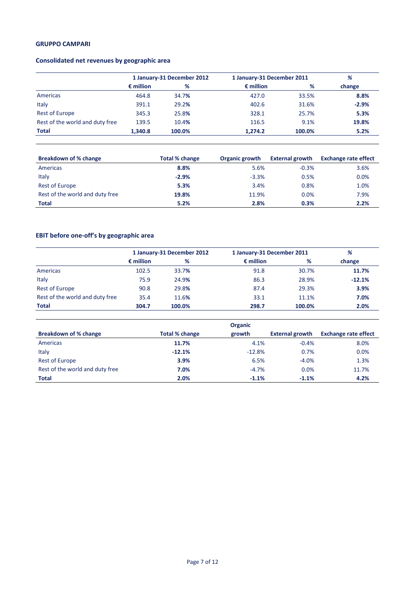# **Consolidated net revenues by geographic area**

|                                 | 1 January-31 December 2012 |        | 1 January-31 December 2011 | %      |         |
|---------------------------------|----------------------------|--------|----------------------------|--------|---------|
|                                 | $\epsilon$ million         | %      | $\epsilon$ million         | %      | change  |
| Americas                        | 464.8                      | 34.7%  | 427.0                      | 33.5%  | 8.8%    |
| Italy                           | 391.1                      | 29.2%  | 402.6                      | 31.6%  | $-2.9%$ |
| <b>Rest of Europe</b>           | 345.3                      | 25.8%  | 328.1                      | 25.7%  | 5.3%    |
| Rest of the world and duty free | 139.5                      | 10.4%  | 116.5                      | 9.1%   | 19.8%   |
| <b>Total</b>                    | 1.340.8                    | 100.0% | 1,274.2                    | 100.0% | 5.2%    |

| <b>Breakdown of % change</b>    | Total % change | Organic growth | <b>External growth</b> | <b>Exchange rate effect</b> |
|---------------------------------|----------------|----------------|------------------------|-----------------------------|
| Americas                        | 8.8%           | 5.6%           | $-0.3%$                | 3.6%                        |
| Italy                           | $-2.9%$        | $-3.3%$        | 0.5%                   | 0.0%                        |
| Rest of Europe                  | 5.3%           | 3.4%           | 0.8%                   | 1.0%                        |
| Rest of the world and duty free | 19.8%          | 11.9%          | 0.0%                   | 7.9%                        |
| <b>Total</b>                    | 5.2%           | 2.8%           | 0.3%                   | 2.2%                        |

# **EBIT before one-off's by geographic area**

|                                 | 1 January-31 December 2012 |        |                    | 1 January-31 December 2011 |          |  |
|---------------------------------|----------------------------|--------|--------------------|----------------------------|----------|--|
|                                 | $\epsilon$ million         | %      | $\epsilon$ million | %                          | change   |  |
| Americas                        | 102.5                      | 33.7%  | 91.8               | 30.7%                      | 11.7%    |  |
| Italy                           | 75.9                       | 24.9%  | 86.3               | 28.9%                      | $-12.1%$ |  |
| <b>Rest of Europe</b>           | 90.8                       | 29.8%  | 87.4               | 29.3%                      | 3.9%     |  |
| Rest of the world and duty free | 35.4                       | 11.6%  | 33.1               | 11.1%                      | 7.0%     |  |
| Total                           | 304.7                      | 100.0% | 298.7              | 100.0%                     | 2.0%     |  |

|                                 |                       | <b>Organic</b> |                        |                             |
|---------------------------------|-----------------------|----------------|------------------------|-----------------------------|
| Breakdown of % change           | <b>Total % change</b> | growth         | <b>External growth</b> | <b>Exchange rate effect</b> |
| Americas                        | 11.7%                 | 4.1%           | $-0.4%$                | 8.0%                        |
| Italy                           | $-12.1%$              | $-12.8%$       | 0.7%                   | 0.0%                        |
| <b>Rest of Europe</b>           | 3.9%                  | 6.5%           | $-4.0%$                | 1.3%                        |
| Rest of the world and duty free | 7.0%                  | $-4.7%$        | 0.0%                   | 11.7%                       |
| <b>Total</b>                    | 2.0%                  | $-1.1%$        | $-1.1%$                | 4.2%                        |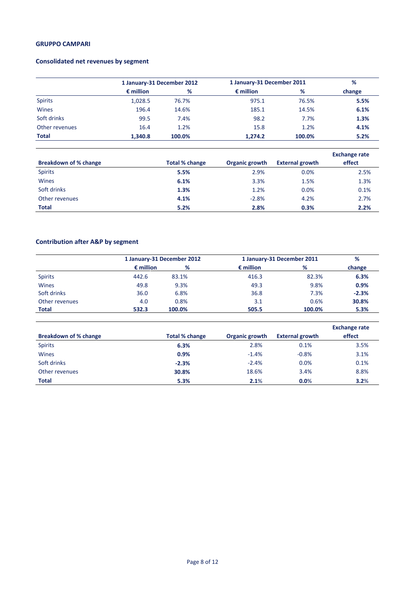# **Consolidated net revenues by segment**

|                | 1 January-31 December 2012 |        |                    | 1 January-31 December 2011 |        |  |
|----------------|----------------------------|--------|--------------------|----------------------------|--------|--|
|                | $\epsilon$ million         | %      | $\epsilon$ million | %                          | change |  |
| <b>Spirits</b> | 1,028.5                    | 76.7%  | 975.1              | 76.5%                      | 5.5%   |  |
| Wines          | 196.4                      | 14.6%  | 185.1              | 14.5%                      | 6.1%   |  |
| Soft drinks    | 99.5                       | 7.4%   | 98.2               | 7.7%                       | 1.3%   |  |
| Other revenues | 16.4                       | 1.2%   | 15.8               | 1.2%                       | 4.1%   |  |
| <b>Total</b>   | 1.340.8                    | 100.0% | 1,274.2            | 100.0%                     | 5.2%   |  |

|                       |                |                |                        | <b>Exchange rate</b> |
|-----------------------|----------------|----------------|------------------------|----------------------|
| Breakdown of % change | Total % change | Organic growth | <b>External growth</b> | effect               |
| <b>Spirits</b>        | 5.5%           | 2.9%           | 0.0%                   | 2.5%                 |
| <b>Wines</b>          | 6.1%           | 3.3%           | 1.5%                   | 1.3%                 |
| Soft drinks           | 1.3%           | 1.2%           | 0.0%                   | 0.1%                 |
| Other revenues        | 4.1%           | $-2.8%$        | 4.2%                   | 2.7%                 |
| <b>Total</b>          | 5.2%           | 2.8%           | 0.3%                   | 2.2%                 |

## **Contribution after A&P by segment**

|                |                    | 1 January-31 December 2012 | 1 January-31 December 2011 |        | %       |
|----------------|--------------------|----------------------------|----------------------------|--------|---------|
|                | $\epsilon$ million | %                          | $\epsilon$ million         | %      | change  |
| <b>Spirits</b> | 442.6              | 83.1%                      | 416.3                      | 82.3%  | 6.3%    |
| <b>Wines</b>   | 49.8               | 9.3%                       | 49.3                       | 9.8%   | 0.9%    |
| Soft drinks    | 36.0               | 6.8%                       | 36.8                       | 7.3%   | $-2.3%$ |
| Other revenues | 4.0                | 0.8%                       | 3.1                        | 0.6%   | 30.8%   |
| <b>Total</b>   | 532.3              | 100.0%                     | 505.5                      | 100.0% | 5.3%    |

| <b>Breakdown of % change</b> | Total % change | Organic growth | <b>External growth</b> | <b>Exchange rate</b><br>effect |
|------------------------------|----------------|----------------|------------------------|--------------------------------|
|                              |                |                |                        |                                |
| <b>Spirits</b>               | 6.3%           | 2.8%           | 0.1%                   | 3.5%                           |
| <b>Wines</b>                 | 0.9%           | $-1.4%$        | $-0.8%$                | 3.1%                           |
| Soft drinks                  | $-2.3%$        | $-2.4%$        | 0.0%                   | 0.1%                           |
| Other revenues               | 30.8%          | 18.6%          | 3.4%                   | 8.8%                           |
| <b>Total</b>                 | 5.3%           | 2.1%           | 0.0%                   | 3.2%                           |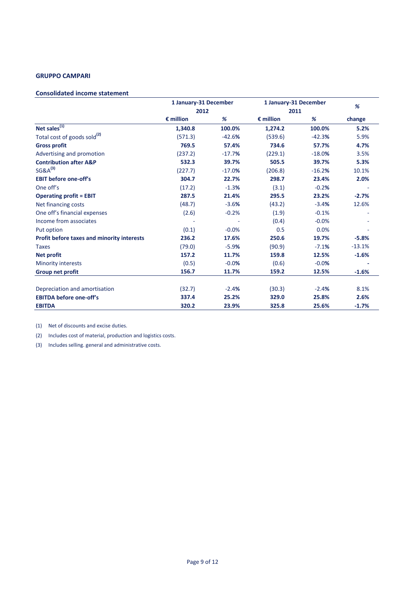#### **Consolidated income statement**

|                                            | 1 January-31 December |          | 1 January-31 December |          | %        |
|--------------------------------------------|-----------------------|----------|-----------------------|----------|----------|
|                                            | 2012                  |          | 2011                  |          |          |
|                                            | $\epsilon$ million    | %        | $\epsilon$ million    | %        | change   |
| Net sales $\sqrt{(1)}$                     | 1,340.8               | 100.0%   | 1,274.2               | 100.0%   | 5.2%     |
| Total cost of goods sold <sup>(2)</sup>    | (571.3)               | $-42.6%$ | (539.6)               | $-42.3%$ | 5.9%     |
| <b>Gross profit</b>                        | 769.5                 | 57.4%    | 734.6                 | 57.7%    | 4.7%     |
| Advertising and promotion                  | (237.2)               | $-17.7%$ | (229.1)               | $-18.0%$ | 3.5%     |
| <b>Contribution after A&amp;P</b>          | 532.3                 | 39.7%    | 505.5                 | 39.7%    | 5.3%     |
| $SG&A^{(3)}$                               | (227.7)               | $-17.0%$ | (206.8)               | $-16.2%$ | 10.1%    |
| <b>EBIT before one-off's</b>               | 304.7                 | 22.7%    | 298.7                 | 23.4%    | 2.0%     |
| One off's                                  | (17.2)                | $-1.3%$  | (3.1)                 | $-0.2%$  |          |
| <b>Operating profit = EBIT</b>             | 287.5                 | 21.4%    | 295.5                 | 23.2%    | $-2.7%$  |
| Net financing costs                        | (48.7)                | $-3.6%$  | (43.2)                | $-3.4%$  | 12.6%    |
| One off's financial expenses               | (2.6)                 | $-0.2%$  | (1.9)                 | $-0.1%$  |          |
| Income from associates                     |                       |          | (0.4)                 | $-0.0%$  |          |
| Put option                                 | (0.1)                 | $-0.0%$  | 0.5                   | 0.0%     |          |
| Profit before taxes and minority interests | 236.2                 | 17.6%    | 250.6                 | 19.7%    | $-5.8%$  |
| <b>Taxes</b>                               | (79.0)                | $-5.9%$  | (90.9)                | $-7.1%$  | $-13.1%$ |
| <b>Net profit</b>                          | 157.2                 | 11.7%    | 159.8                 | 12.5%    | $-1.6%$  |
| <b>Minority interests</b>                  | (0.5)                 | $-0.0%$  | (0.6)                 | $-0.0%$  |          |
| Group net profit                           | 156.7                 | 11.7%    | 159.2                 | 12.5%    | $-1.6%$  |
| Depreciation and amortisation              | (32.7)                | $-2.4%$  | (30.3)                | $-2.4%$  | 8.1%     |
| <b>EBITDA before one-off's</b>             | 337.4                 | 25.2%    | 329.0                 | 25.8%    | 2.6%     |
| <b>EBITDA</b>                              | 320.2                 | 23.9%    | 325.8                 | 25.6%    | $-1.7%$  |

(1) Net of discounts and excise duties.

(2) Includes cost of material, production and logistics costs.

(3) Includes selling. general and administrative costs.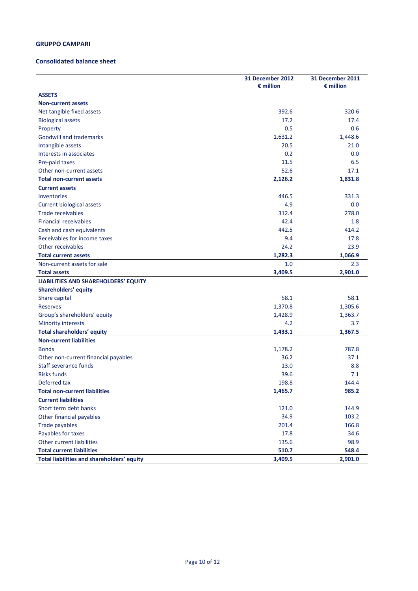#### **Consolidated balance sheet**

|                                            | <b>31 December 2012</b><br>$\epsilon$ million | <b>31 December 2011</b><br>$\epsilon$ million |
|--------------------------------------------|-----------------------------------------------|-----------------------------------------------|
| <b>ASSETS</b>                              |                                               |                                               |
| <b>Non-current assets</b>                  |                                               |                                               |
| Net tangible fixed assets                  | 392.6                                         | 320.6                                         |
| <b>Biological assets</b>                   | 17.2                                          | 17.4                                          |
| Property                                   | 0.5                                           | 0.6                                           |
| <b>Goodwill and trademarks</b>             | 1,631.2                                       | 1,448.6                                       |
| Intangible assets                          | 20.5                                          | 21.0                                          |
| Interests in associates                    | 0.2                                           | 0.0                                           |
| Pre-paid taxes                             | 11.5                                          | 6.5                                           |
| Other non-current assets                   | 52.6                                          | 17.1                                          |
| <b>Total non-current assets</b>            | 2,126.2                                       | 1,831.8                                       |
| <b>Current assets</b>                      |                                               |                                               |
| Inventories                                | 446.5                                         | 331.3                                         |
| <b>Current biological assets</b>           | 4.9                                           | 0.0                                           |
| Trade receivables                          | 312.4                                         | 278.0                                         |
| <b>Financial receivables</b>               | 42.4                                          | 1.8                                           |
| Cash and cash equivalents                  | 442.5                                         | 414.2                                         |
| Receivables for income taxes               | 9.4                                           | 17.8                                          |
| Other receivables                          | 24.2                                          | 23.9                                          |
| <b>Total current assets</b>                | 1,282.3                                       | 1,066.9                                       |
| Non-current assets for sale                | 1.0                                           | 2.3                                           |
| <b>Total assets</b>                        | 3,409.5                                       | 2,901.0                                       |
| LIABILITIES AND SHAREHOLDERS' EQUITY       |                                               |                                               |
| Shareholders' equity                       |                                               |                                               |
| Share capital                              | 58.1                                          | 58.1                                          |
| Reserves                                   | 1,370.8                                       | 1,305.6                                       |
| Group's shareholders' equity               | 1,428.9                                       | 1,363.7                                       |
| <b>Minority interests</b>                  | 4.2                                           | 3.7                                           |
| <b>Total shareholders' equity</b>          | 1,433.1                                       | 1,367.5                                       |
| <b>Non-current liabilities</b>             |                                               |                                               |
| <b>Bonds</b>                               | 1,178.2                                       | 787.8                                         |
| Other non-current financial payables       | 36.2                                          | 37.1                                          |
| Staff severance funds                      | 13.0                                          | 8.8                                           |
| <b>Risks funds</b>                         | 39.6                                          | 7.1                                           |
| Deferred tax                               | 198.8                                         | 144.4                                         |
| <b>Total non-current liabilities</b>       | 1,465.7                                       | 985.2                                         |
| <b>Current liabilities</b>                 |                                               |                                               |
| Short term debt banks                      | 121.0                                         | 144.9                                         |
| Other financial payables                   | 34.9                                          | 103.2                                         |
| Trade payables                             | 201.4                                         | 166.8                                         |
| Payables for taxes                         | 17.8                                          | 34.6                                          |
| Other current liabilities                  | 135.6                                         | 98.9                                          |
| <b>Total current liabilities</b>           | 510.7                                         | 548.4                                         |
| Total liabilities and shareholders' equity | 3,409.5                                       | 2,901.0                                       |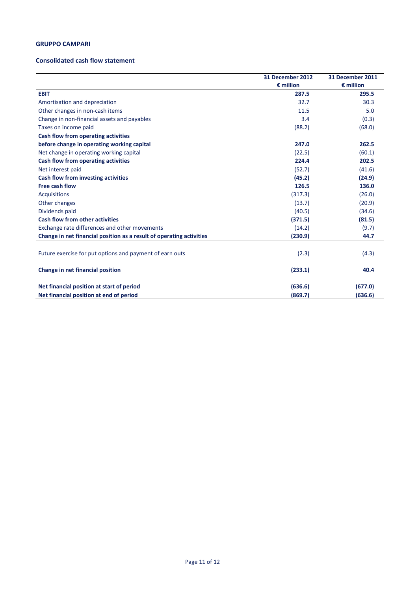#### **Consolidated cash flow statement**

|                                                                      | 31 December 2012<br>$\epsilon$ million | 31 December 2011<br>$\epsilon$ million |
|----------------------------------------------------------------------|----------------------------------------|----------------------------------------|
| <b>EBIT</b>                                                          | 287.5                                  | 295.5                                  |
| Amortisation and depreciation                                        | 32.7                                   | 30.3                                   |
| Other changes in non-cash items                                      | 11.5                                   | 5.0                                    |
| Change in non-financial assets and payables                          | 3.4                                    | (0.3)                                  |
| Taxes on income paid                                                 | (88.2)                                 | (68.0)                                 |
| Cash flow from operating activities                                  |                                        |                                        |
| before change in operating working capital                           | 247.0                                  | 262.5                                  |
| Net change in operating working capital                              | (22.5)                                 | (60.1)                                 |
| <b>Cash flow from operating activities</b>                           | 224.4                                  | 202.5                                  |
| Net interest paid                                                    | (52.7)                                 | (41.6)                                 |
| Cash flow from investing activities                                  | (45.2)                                 | (24.9)                                 |
| Free cash flow                                                       | 126.5                                  | 136.0                                  |
| <b>Acquisitions</b>                                                  | (317.3)                                | (26.0)                                 |
| Other changes                                                        | (13.7)                                 | (20.9)                                 |
| Dividends paid                                                       | (40.5)                                 | (34.6)                                 |
| <b>Cash flow from other activities</b>                               | (371.5)                                | (81.5)                                 |
| Exchange rate differences and other movements                        | (14.2)                                 | (9.7)                                  |
| Change in net financial position as a result of operating activities | (230.9)                                | 44.7                                   |
|                                                                      |                                        |                                        |
| Future exercise for put options and payment of earn outs             | (2.3)                                  | (4.3)                                  |
| Change in net financial position                                     | (233.1)                                | 40.4                                   |
| Net financial position at start of period                            | (636.6)                                | (677.0)                                |
| Net financial position at end of period                              | (869.7)                                | (636.6)                                |